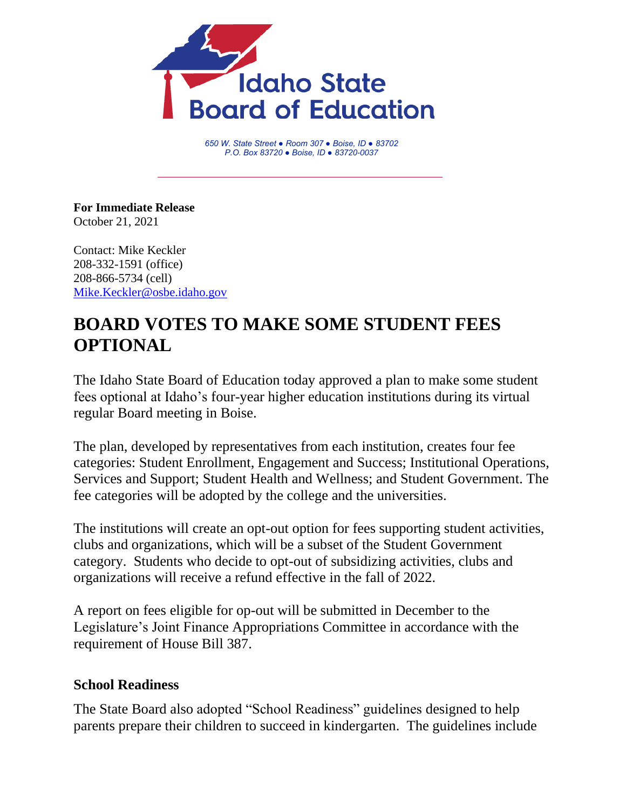

*650 W. State Street ● Room 307 ● Boise, ID ● 83702 P.O. Box 83720 ● Boise, ID ● 83720-0037*

**For Immediate Release** October 21, 2021

Contact: Mike Keckler 208-332-1591 (office) 208-866-5734 (cell) [Mike.Keckler@osbe.idaho.gov](mailto:Mike.Keckler@osbe.idaho.gov)

## **BOARD VOTES TO MAKE SOME STUDENT FEES OPTIONAL**

The Idaho State Board of Education today approved a plan to make some student fees optional at Idaho's four-year higher education institutions during its virtual regular Board meeting in Boise.

The plan, developed by representatives from each institution, creates four fee categories: Student Enrollment, Engagement and Success; Institutional Operations, Services and Support; Student Health and Wellness; and Student Government. The fee categories will be adopted by the college and the universities.

The institutions will create an opt-out option for fees supporting student activities, clubs and organizations, which will be a subset of the Student Government category. Students who decide to opt-out of subsidizing activities, clubs and organizations will receive a refund effective in the fall of 2022.

A report on fees eligible for op-out will be submitted in December to the Legislature's Joint Finance Appropriations Committee in accordance with the requirement of House Bill 387.

## **School Readiness**

The State Board also adopted "School Readiness" guidelines designed to help parents prepare their children to succeed in kindergarten. The guidelines include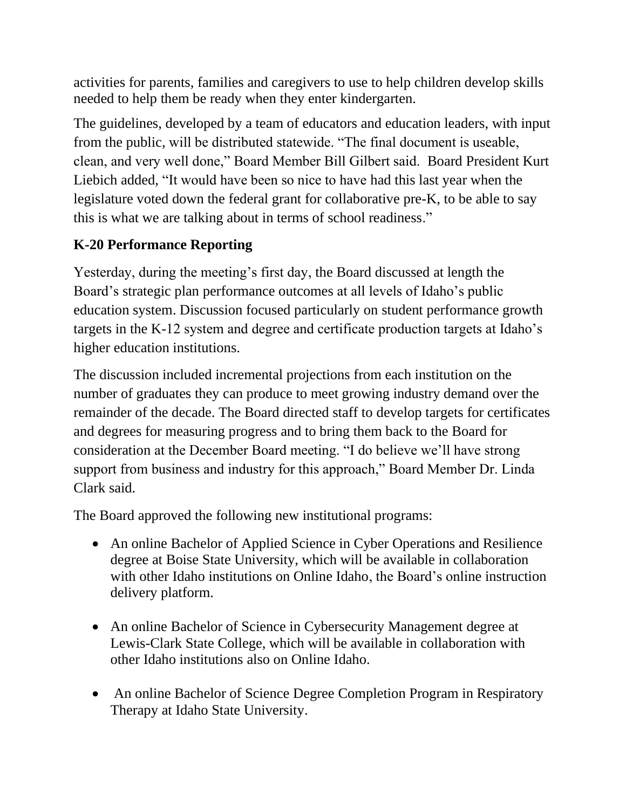activities for parents, families and caregivers to use to help children develop skills needed to help them be ready when they enter kindergarten.

The guidelines, developed by a team of educators and education leaders, with input from the public, will be distributed statewide. "The final document is useable, clean, and very well done," Board Member Bill Gilbert said. Board President Kurt Liebich added, "It would have been so nice to have had this last year when the legislature voted down the federal grant for collaborative pre-K, to be able to say this is what we are talking about in terms of school readiness."

## **K-20 Performance Reporting**

Yesterday, during the meeting's first day, the Board discussed at length the Board's strategic plan performance outcomes at all levels of Idaho's public education system. Discussion focused particularly on student performance growth targets in the K-12 system and degree and certificate production targets at Idaho's higher education institutions.

The discussion included incremental projections from each institution on the number of graduates they can produce to meet growing industry demand over the remainder of the decade. The Board directed staff to develop targets for certificates and degrees for measuring progress and to bring them back to the Board for consideration at the December Board meeting. "I do believe we'll have strong support from business and industry for this approach," Board Member Dr. Linda Clark said.

The Board approved the following new institutional programs:

- An online Bachelor of Applied Science in Cyber Operations and Resilience degree at Boise State University, which will be available in collaboration with other Idaho institutions on Online Idaho, the Board's online instruction delivery platform.
- An online Bachelor of Science in Cybersecurity Management degree at Lewis-Clark State College, which will be available in collaboration with other Idaho institutions also on Online Idaho.
- An online Bachelor of Science Degree Completion Program in Respiratory Therapy at Idaho State University.